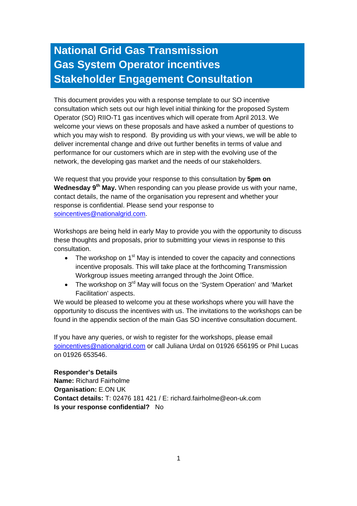# **National Grid Gas Transmission Gas System Operator incentives Stakeholder Engagement Consultation**

This document provides you with a response template to our SO incentive consultation which sets out our high level initial thinking for the proposed System Operator (SO) RIIO-T1 gas incentives which will operate from April 2013. We welcome your views on these proposals and have asked a number of questions to which you may wish to respond. By providing us with your views, we will be able to deliver incremental change and drive out further benefits in terms of value and performance for our customers which are in step with the evolving use of the network, the developing gas market and the needs of our stakeholders.

We request that you provide your response to this consultation by **5pm on Wednesday 9th May.** When responding can you please provide us with your name, contact details, the name of the organisation you represent and whether your response is confidential. Please send your response to soincentives@nationalgrid.com.

Workshops are being held in early May to provide you with the opportunity to discuss these thoughts and proposals, prior to submitting your views in response to this consultation.

- The workshop on  $1<sup>st</sup>$  May is intended to cover the capacity and connections incentive proposals. This will take place at the forthcoming Transmission Workgroup issues meeting arranged through the Joint Office.
- The workshop on 3<sup>rd</sup> May will focus on the 'System Operation' and 'Market' Facilitation' aspects.

We would be pleased to welcome you at these workshops where you will have the opportunity to discuss the incentives with us. The invitations to the workshops can be found in the appendix section of the main Gas SO incentive consultation document.

If you have any queries, or wish to register for the workshops, please email soincentives@nationalgrid.com or call Juliana Urdal on 01926 656195 or Phil Lucas on 01926 653546.

**Responder's Details Name:** Richard Fairholme **Organisation:** E.ON UK **Contact details:** T: 02476 181 421 / E: richard.fairholme@eon-uk.com **Is your response confidential?** No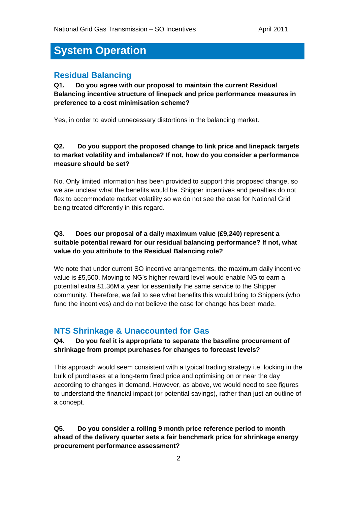# **System Operation**

#### **Residual Balancing**

**Q1. Do you agree with our proposal to maintain the current Residual Balancing incentive structure of linepack and price performance measures in preference to a cost minimisation scheme?** 

Yes, in order to avoid unnecessary distortions in the balancing market.

#### **Q2. Do you support the proposed change to link price and linepack targets to market volatility and imbalance? If not, how do you consider a performance measure should be set?**

No. Only limited information has been provided to support this proposed change, so we are unclear what the benefits would be. Shipper incentives and penalties do not flex to accommodate market volatility so we do not see the case for National Grid being treated differently in this regard.

#### **Q3. Does our proposal of a daily maximum value (£9,240) represent a suitable potential reward for our residual balancing performance? If not, what value do you attribute to the Residual Balancing role?**

We note that under current SO incentive arrangements, the maximum daily incentive value is £5,500. Moving to NG's higher reward level would enable NG to earn a potential extra £1.36M a year for essentially the same service to the Shipper community. Therefore, we fail to see what benefits this would bring to Shippers (who fund the incentives) and do not believe the case for change has been made.

### **NTS Shrinkage & Unaccounted for Gas**

#### **Q4. Do you feel it is appropriate to separate the baseline procurement of shrinkage from prompt purchases for changes to forecast levels?**

This approach would seem consistent with a typical trading strategy i.e. locking in the bulk of purchases at a long-term fixed price and optimising on or near the day according to changes in demand. However, as above, we would need to see figures to understand the financial impact (or potential savings), rather than just an outline of a concept.

#### **Q5. Do you consider a rolling 9 month price reference period to month ahead of the delivery quarter sets a fair benchmark price for shrinkage energy procurement performance assessment?**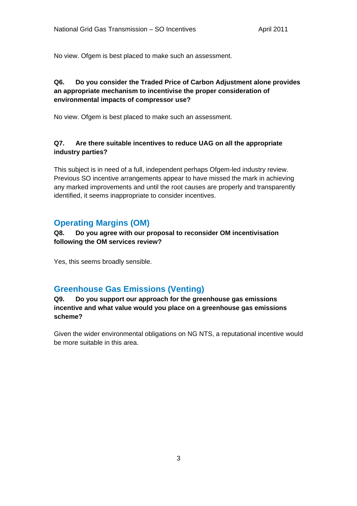No view. Ofgem is best placed to make such an assessment.

#### **Q6. Do you consider the Traded Price of Carbon Adjustment alone provides an appropriate mechanism to incentivise the proper consideration of environmental impacts of compressor use?**

No view. Ofgem is best placed to make such an assessment.

#### **Q7. Are there suitable incentives to reduce UAG on all the appropriate industry parties?**

This subject is in need of a full, independent perhaps Ofgem-led industry review. Previous SO incentive arrangements appear to have missed the mark in achieving any marked improvements and until the root causes are properly and transparently identified, it seems inappropriate to consider incentives.

## **Operating Margins (OM)**

**Q8. Do you agree with our proposal to reconsider OM incentivisation following the OM services review?** 

Yes, this seems broadly sensible.

### **Greenhouse Gas Emissions (Venting)**

#### **Q9. Do you support our approach for the greenhouse gas emissions incentive and what value would you place on a greenhouse gas emissions scheme?**

Given the wider environmental obligations on NG NTS, a reputational incentive would be more suitable in this area.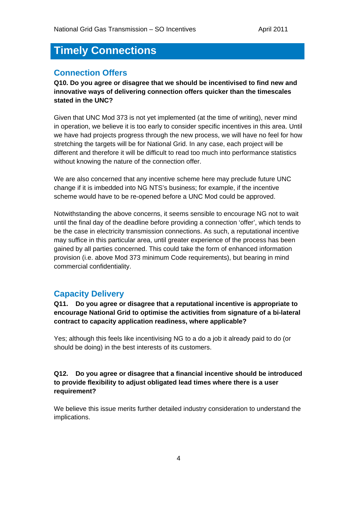# **Timely Connections**

#### **Connection Offers**

**Q10. Do you agree or disagree that we should be incentivised to find new and innovative ways of delivering connection offers quicker than the timescales stated in the UNC?** 

Given that UNC Mod 373 is not yet implemented (at the time of writing), never mind in operation, we believe it is too early to consider specific incentives in this area. Until we have had projects progress through the new process, we will have no feel for how stretching the targets will be for National Grid. In any case, each project will be different and therefore it will be difficult to read too much into performance statistics without knowing the nature of the connection offer.

We are also concerned that any incentive scheme here may preclude future UNC change if it is imbedded into NG NTS's business; for example, if the incentive scheme would have to be re-opened before a UNC Mod could be approved.

Notwithstanding the above concerns, it seems sensible to encourage NG not to wait until the final day of the deadline before providing a connection 'offer', which tends to be the case in electricity transmission connections. As such, a reputational incentive may suffice in this particular area, until greater experience of the process has been gained by all parties concerned. This could take the form of enhanced information provision (i.e. above Mod 373 minimum Code requirements), but bearing in mind commercial confidentiality.

#### **Capacity Delivery**

**Q11. Do you agree or disagree that a reputational incentive is appropriate to encourage National Grid to optimise the activities from signature of a bi-lateral contract to capacity application readiness, where applicable?** 

Yes; although this feels like incentivising NG to a do a job it already paid to do (or should be doing) in the best interests of its customers.

#### **Q12. Do you agree or disagree that a financial incentive should be introduced to provide flexibility to adjust obligated lead times where there is a user requirement?**

We believe this issue merits further detailed industry consideration to understand the implications.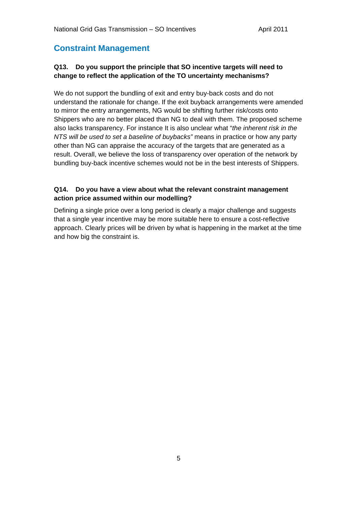## **Constraint Management**

#### **Q13. Do you support the principle that SO incentive targets will need to change to reflect the application of the TO uncertainty mechanisms?**

We do not support the bundling of exit and entry buy-back costs and do not understand the rationale for change. If the exit buyback arrangements were amended to mirror the entry arrangements, NG would be shifting further risk/costs onto Shippers who are no better placed than NG to deal with them. The proposed scheme also lacks transparency. For instance It is also unclear what "*the inherent risk in the NTS will be used to set a baseline of buybacks"* means in practice or how any party other than NG can appraise the accuracy of the targets that are generated as a result. Overall, we believe the loss of transparency over operation of the network by bundling buy-back incentive schemes would not be in the best interests of Shippers.

#### **Q14. Do you have a view about what the relevant constraint management action price assumed within our modelling?**

Defining a single price over a long period is clearly a major challenge and suggests that a single year incentive may be more suitable here to ensure a cost-reflective approach. Clearly prices will be driven by what is happening in the market at the time and how big the constraint is.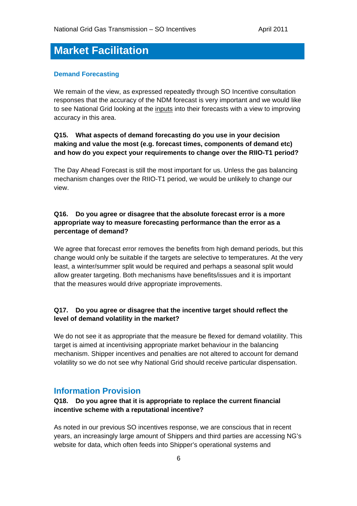# **Market Facilitation**

#### **Demand Forecasting**

We remain of the view, as expressed repeatedly through SO Incentive consultation responses that the accuracy of the NDM forecast is very important and we would like to see National Grid looking at the inputs into their forecasts with a view to improving accuracy in this area.

#### **Q15. What aspects of demand forecasting do you use in your decision making and value the most (e.g. forecast times, components of demand etc) and how do you expect your requirements to change over the RIIO-T1 period?**

The Day Ahead Forecast is still the most important for us. Unless the gas balancing mechanism changes over the RIIO-T1 period, we would be unlikely to change our view.

#### **Q16. Do you agree or disagree that the absolute forecast error is a more appropriate way to measure forecasting performance than the error as a percentage of demand?**

We agree that forecast error removes the benefits from high demand periods, but this change would only be suitable if the targets are selective to temperatures. At the very least, a winter/summer split would be required and perhaps a seasonal split would allow greater targeting. Both mechanisms have benefits/issues and it is important that the measures would drive appropriate improvements.

#### **Q17. Do you agree or disagree that the incentive target should reflect the level of demand volatility in the market?**

We do not see it as appropriate that the measure be flexed for demand volatility. This target is aimed at incentivising appropriate market behaviour in the balancing mechanism. Shipper incentives and penalties are not altered to account for demand volatility so we do not see why National Grid should receive particular dispensation.

#### **Information Provision**

#### **Q18. Do you agree that it is appropriate to replace the current financial incentive scheme with a reputational incentive?**

As noted in our previous SO incentives response, we are conscious that in recent years, an increasingly large amount of Shippers and third parties are accessing NG's website for data, which often feeds into Shipper's operational systems and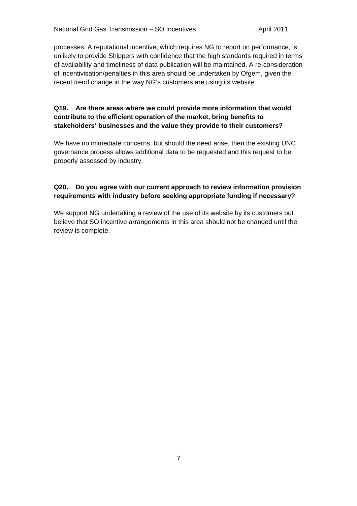processes. A reputational incentive, which requires NG to report on performance, is unlikely to provide Shippers with confidence that the high standards required in terms of availability and timeliness of data publication will be maintained. A re-consideration of incentivisation/penalties in this area should be undertaken by Ofgem, given the recent trend change in the way NG's customers are using its website.

#### **Q19. Are there areas where we could provide more information that would contribute to the efficient operation of the market, bring benefits to stakeholders' businesses and the value they provide to their customers?**

We have no immediate concerns, but should the need arise, then the existing UNC governance process allows additional data to be requested and this request to be properly assessed by industry.

#### **Q20. Do you agree with our current approach to review information provision requirements with industry before seeking appropriate funding if necessary?**

We support NG undertaking a review of the use of its website by its customers but believe that SO incentive arrangements in this area should not be changed until the review is complete.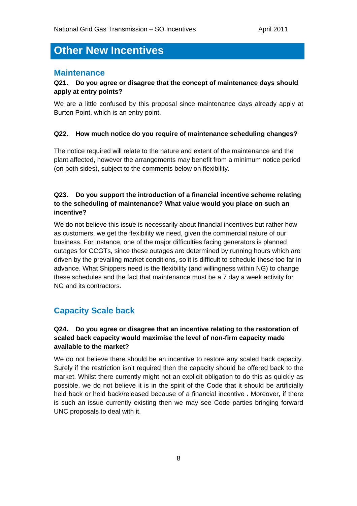# **Other New Incentives**

#### **Maintenance**

#### **Q21. Do you agree or disagree that the concept of maintenance days should apply at entry points?**

We are a little confused by this proposal since maintenance days already apply at Burton Point, which is an entry point.

#### **Q22. How much notice do you require of maintenance scheduling changes?**

The notice required will relate to the nature and extent of the maintenance and the plant affected, however the arrangements may benefit from a minimum notice period (on both sides), subject to the comments below on flexibility.

#### **Q23. Do you support the introduction of a financial incentive scheme relating to the scheduling of maintenance? What value would you place on such an incentive?**

We do not believe this issue is necessarily about financial incentives but rather how as customers, we get the flexibility we need, given the commercial nature of our business. For instance, one of the major difficulties facing generators is planned outages for CCGTs, since these outages are determined by running hours which are driven by the prevailing market conditions, so it is difficult to schedule these too far in advance. What Shippers need is the flexibility (and willingness within NG) to change these schedules and the fact that maintenance must be a 7 day a week activity for NG and its contractors.

#### **Capacity Scale back**

#### **Q24. Do you agree or disagree that an incentive relating to the restoration of scaled back capacity would maximise the level of non-firm capacity made available to the market?**

We do not believe there should be an incentive to restore any scaled back capacity. Surely if the restriction isn't required then the capacity should be offered back to the market. Whilst there currently might not an explicit obligation to do this as quickly as possible, we do not believe it is in the spirit of the Code that it should be artificially held back or held back/released because of a financial incentive . Moreover, if there is such an issue currently existing then we may see Code parties bringing forward UNC proposals to deal with it.